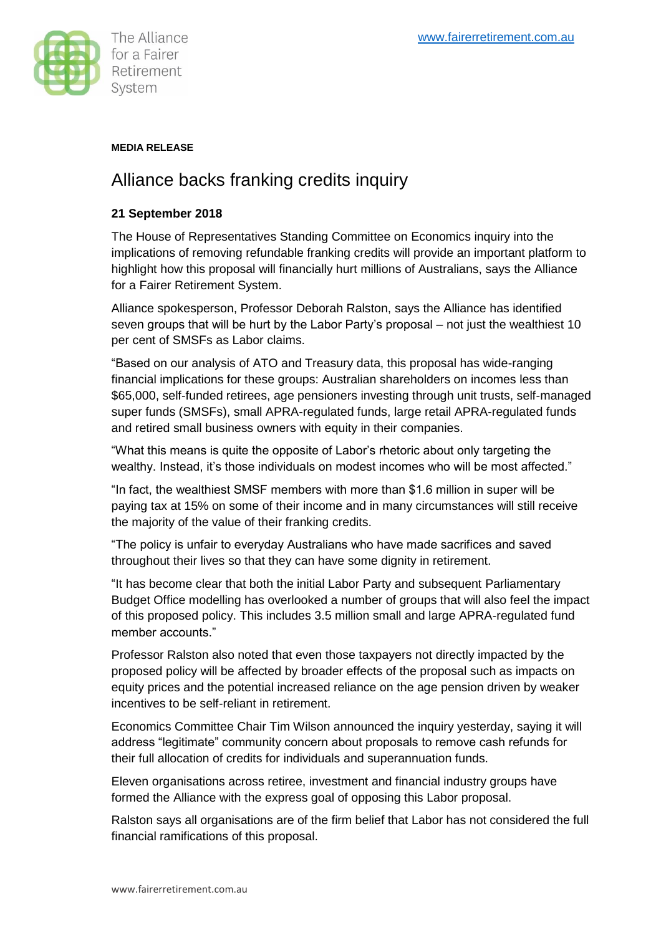

## **MEDIA RELEASE**

# Alliance backs franking credits inquiry

### **21 September 2018**

The House of Representatives Standing Committee on Economics inquiry into the implications of removing refundable franking credits will provide an important platform to highlight how this proposal will financially hurt millions of Australians, says the Alliance for a Fairer Retirement System.

Alliance spokesperson, Professor Deborah Ralston, says the Alliance has identified seven groups that will be hurt by the Labor Party's proposal – not just the wealthiest 10 per cent of SMSFs as Labor claims.

"Based on our analysis of ATO and Treasury data, this proposal has wide-ranging financial implications for these groups: Australian shareholders on incomes less than \$65,000, self-funded retirees, age pensioners investing through unit trusts, self-managed super funds (SMSFs), small APRA-regulated funds, large retail APRA-regulated funds and retired small business owners with equity in their companies.

"What this means is quite the opposite of Labor's rhetoric about only targeting the wealthy. Instead, it's those individuals on modest incomes who will be most affected."

"In fact, the wealthiest SMSF members with more than \$1.6 million in super will be paying tax at 15% on some of their income and in many circumstances will still receive the majority of the value of their franking credits.

"The policy is unfair to everyday Australians who have made sacrifices and saved throughout their lives so that they can have some dignity in retirement.

"It has become clear that both the initial Labor Party and subsequent Parliamentary Budget Office modelling has overlooked a number of groups that will also feel the impact of this proposed policy. This includes 3.5 million small and large APRA-regulated fund member accounts."

Professor Ralston also noted that even those taxpayers not directly impacted by the proposed policy will be affected by broader effects of the proposal such as impacts on equity prices and the potential increased reliance on the age pension driven by weaker incentives to be self-reliant in retirement.

Economics Committee Chair Tim Wilson announced the inquiry yesterday, saying it will address "legitimate" community concern about proposals to remove cash refunds for their full allocation of credits for individuals and superannuation funds.

Eleven organisations across retiree, investment and financial industry groups have formed the Alliance with the express goal of opposing this Labor proposal.

Ralston says all organisations are of the firm belief that Labor has not considered the full financial ramifications of this proposal.